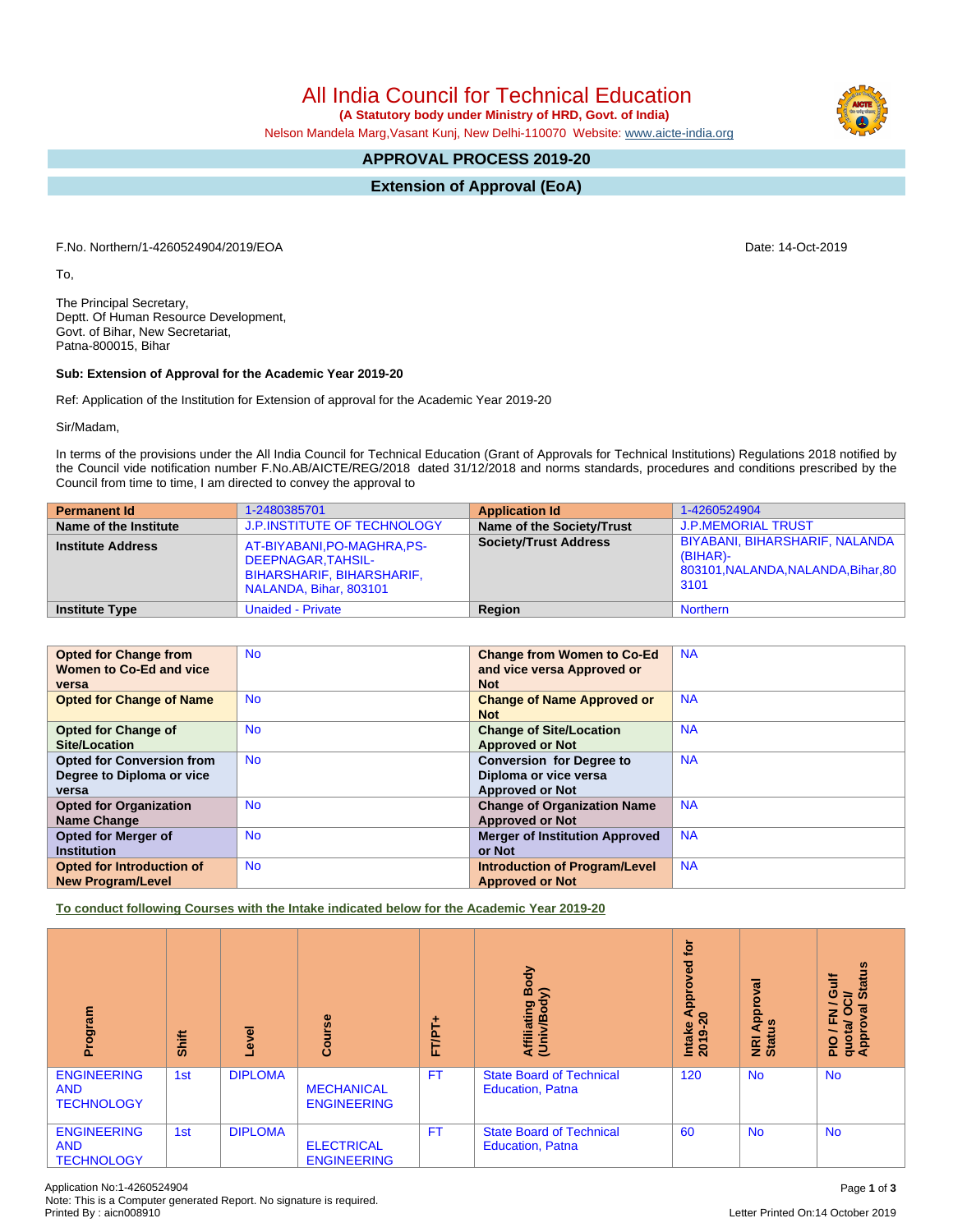All India Council for Technical Education

 **(A Statutory body under Ministry of HRD, Govt. of India)**

Nelson Mandela Marg,Vasant Kunj, New Delhi-110070 Website: [www.aicte-india.org](http://www.aicte-india.org)

# **APPROVAL PROCESS 2019-20**

**Extension of Approval (EoA)**

F.No. Northern/1-4260524904/2019/EOA Date: 14-Oct-2019

To,

The Principal Secretary, Deptt. Of Human Resource Development, Govt. of Bihar, New Secretariat, Patna-800015, Bihar

### **Sub: Extension of Approval for the Academic Year 2019-20**

Ref: Application of the Institution for Extension of approval for the Academic Year 2019-20

Sir/Madam,

In terms of the provisions under the All India Council for Technical Education (Grant of Approvals for Technical Institutions) Regulations 2018 notified by the Council vide notification number F.No.AB/AICTE/REG/2018 dated 31/12/2018 and norms standards, procedures and conditions prescribed by the Council from time to time, I am directed to convey the approval to

| <b>Permanent Id</b>      | 1-2480385701                                                                                             | <b>Application Id</b>        | 1-4260524904                                                                              |
|--------------------------|----------------------------------------------------------------------------------------------------------|------------------------------|-------------------------------------------------------------------------------------------|
| Name of the Institute    | J.P.INSTITUTE OF TECHNOLOGY                                                                              | Name of the Society/Trust    | <b>J.P.MEMORIAL TRUST</b>                                                                 |
| <b>Institute Address</b> | AT-BIYABANI, PO-MAGHRA, PS-<br>DEEPNAGAR, TAHSIL-<br>BIHARSHARIF, BIHARSHARIF,<br>NALANDA, Bihar, 803101 | <b>Society/Trust Address</b> | BIYABANI, BIHARSHARIF, NALANDA<br>(BIHAR)-<br>803101, NALANDA, NALANDA, Bihar, 80<br>3101 |
| <b>Institute Type</b>    | <b>Unaided - Private</b>                                                                                 | Region                       | <b>Northern</b>                                                                           |

| <b>Opted for Change from</b>     | <b>No</b> | <b>Change from Women to Co-Ed</b>     | <b>NA</b> |
|----------------------------------|-----------|---------------------------------------|-----------|
| Women to Co-Ed and vice          |           | and vice versa Approved or            |           |
| versa                            |           | <b>Not</b>                            |           |
| <b>Opted for Change of Name</b>  | <b>No</b> | <b>Change of Name Approved or</b>     | <b>NA</b> |
|                                  |           | <b>Not</b>                            |           |
| <b>Opted for Change of</b>       | <b>No</b> | <b>Change of Site/Location</b>        | <b>NA</b> |
| Site/Location                    |           | <b>Approved or Not</b>                |           |
| <b>Opted for Conversion from</b> | <b>No</b> | <b>Conversion for Degree to</b>       | <b>NA</b> |
| Degree to Diploma or vice        |           | Diploma or vice versa                 |           |
| versa                            |           | <b>Approved or Not</b>                |           |
| <b>Opted for Organization</b>    | <b>No</b> | <b>Change of Organization Name</b>    | <b>NA</b> |
| Name Change                      |           | <b>Approved or Not</b>                |           |
| <b>Opted for Merger of</b>       | <b>No</b> | <b>Merger of Institution Approved</b> | <b>NA</b> |
| <b>Institution</b>               |           | or Not                                |           |
| <b>Opted for Introduction of</b> | <b>No</b> | <b>Introduction of Program/Level</b>  | <b>NA</b> |
| <b>New Program/Level</b>         |           | <b>Approved or Not</b>                |           |

**To conduct following Courses with the Intake indicated below for the Academic Year 2019-20**

| Program                                               | Shift | Level          | Course                                  | FT/PT+    | Body<br>$\widehat{\phantom{a}}$<br>Affiliating<br>(Univ/Body | įō<br>Approved<br>$\infty$<br>Intake<br>2019-2 | Approval<br>$\frac{9}{2}$<br>NRI<br>Stat | <b>U)</b><br><b>Gulf</b><br><b>Statu</b><br>≃<br>∽<br>$\sigma$<br>z<br>ц,<br>uota/<br>ppr<br>$\frac{1}{2}$<br>ō≺ |
|-------------------------------------------------------|-------|----------------|-----------------------------------------|-----------|--------------------------------------------------------------|------------------------------------------------|------------------------------------------|------------------------------------------------------------------------------------------------------------------|
| <b>ENGINEERING</b><br><b>AND</b><br><b>TECHNOLOGY</b> | 1st   | <b>DIPLOMA</b> | <b>MECHANICAL</b><br><b>ENGINEERING</b> | <b>FT</b> | <b>State Board of Technical</b><br><b>Education, Patna</b>   | 120                                            | <b>No</b>                                | <b>No</b>                                                                                                        |
| <b>ENGINEERING</b><br><b>AND</b><br><b>TECHNOLOGY</b> | 1st   | <b>DIPLOMA</b> | <b>ELECTRICAL</b><br><b>ENGINEERING</b> | FT.       | <b>State Board of Technical</b><br><b>Education, Patna</b>   | 60                                             | <b>No</b>                                | <b>No</b>                                                                                                        |

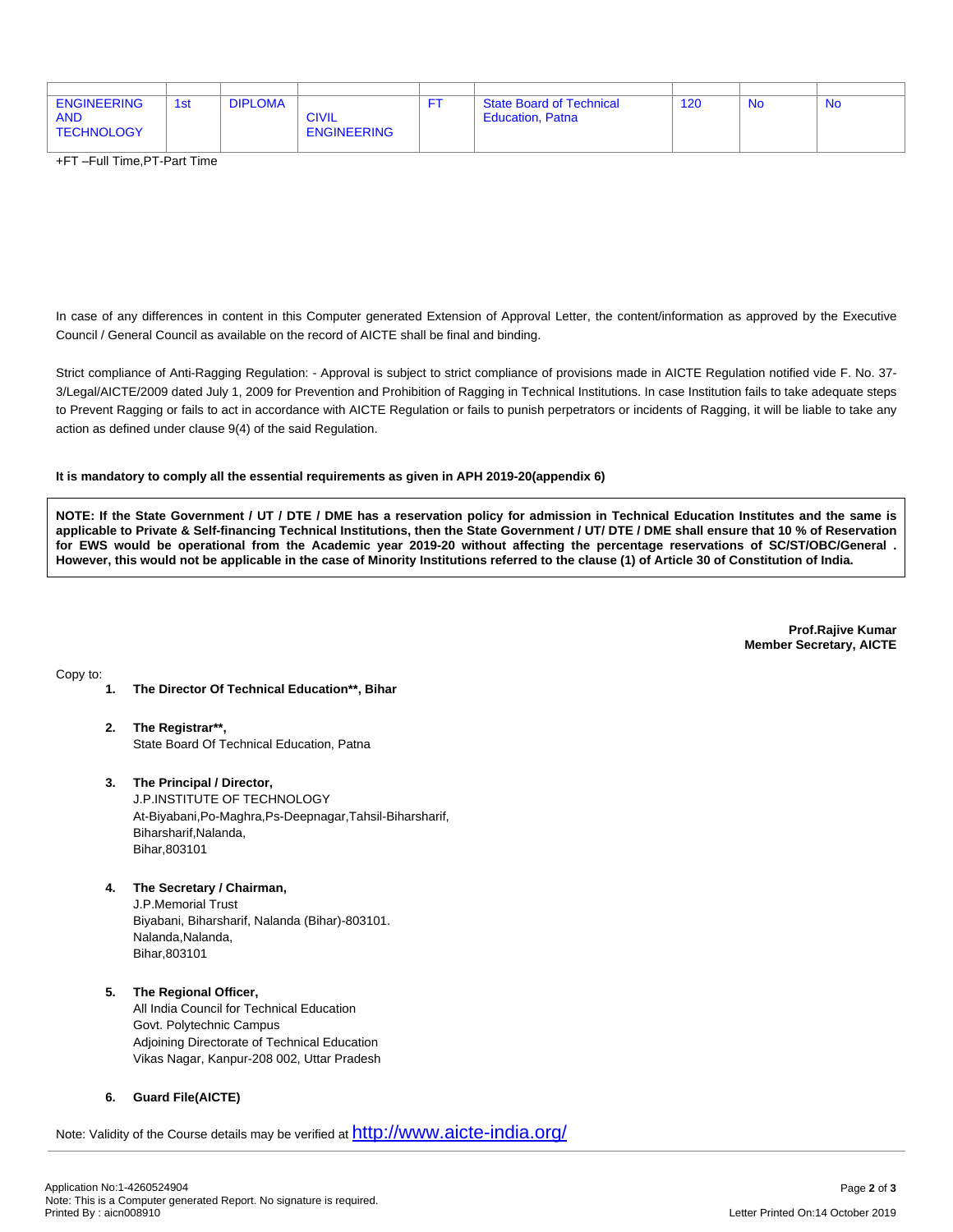| <b>ENGINEERING</b><br><b>AND</b><br><b>TECHNOLOGY</b> | 1st | <b>DIPLOMA</b> | <b>CIVIL</b><br><b>ENGINEERING</b> | <sup>1</sup> State Board of Technical<br><b>Education, Patna</b> | 120 | <b>No</b> | - No |
|-------------------------------------------------------|-----|----------------|------------------------------------|------------------------------------------------------------------|-----|-----------|------|

+FT –Full Time,PT-Part Time

In case of any differences in content in this Computer generated Extension of Approval Letter, the content/information as approved by the Executive Council / General Council as available on the record of AICTE shall be final and binding.

Strict compliance of Anti-Ragging Regulation: - Approval is subject to strict compliance of provisions made in AICTE Regulation notified vide F. No. 37- 3/Legal/AICTE/2009 dated July 1, 2009 for Prevention and Prohibition of Ragging in Technical Institutions. In case Institution fails to take adequate steps to Prevent Ragging or fails to act in accordance with AICTE Regulation or fails to punish perpetrators or incidents of Ragging, it will be liable to take any action as defined under clause 9(4) of the said Regulation.

#### **It is mandatory to comply all the essential requirements as given in APH 2019-20(appendix 6)**

NOTE: If the State Government / UT / DTE / DME has a reservation policy for admission in Technical Education Institutes and the same is applicable to Private & Self-financing Technical Institutions, then the State Government / UT/ DTE / DME shall ensure that 10 % of Reservation for EWS would be operational from the Academic year 2019-20 without affecting the percentage reservations of SC/ST/OBC/General. However, this would not be applicable in the case of Minority Institutions referred to the clause (1) of Article 30 of Constitution of India.

> **Prof.Rajive Kumar Member Secretary, AICTE**

Copy to:

- **1. The Director Of Technical Education\*\*, Bihar**
- **2. The Registrar\*\*,** State Board Of Technical Education, Patna
- **3. The Principal / Director,** J.P.INSTITUTE OF TECHNOLOGY At-Biyabani,Po-Maghra,Ps-Deepnagar,Tahsil-Biharsharif, Biharsharif,Nalanda, Bihar,803101
- **4. The Secretary / Chairman,**

J.P.Memorial Trust Biyabani, Biharsharif, Nalanda (Bihar)-803101. Nalanda,Nalanda, Bihar,803101

#### **5. The Regional Officer,**

All India Council for Technical Education Govt. Polytechnic Campus Adjoining Directorate of Technical Education Vikas Nagar, Kanpur-208 002, Uttar Pradesh

## **6. Guard File(AICTE)**

Note: Validity of the Course details may be verified at <http://www.aicte-india.org/>